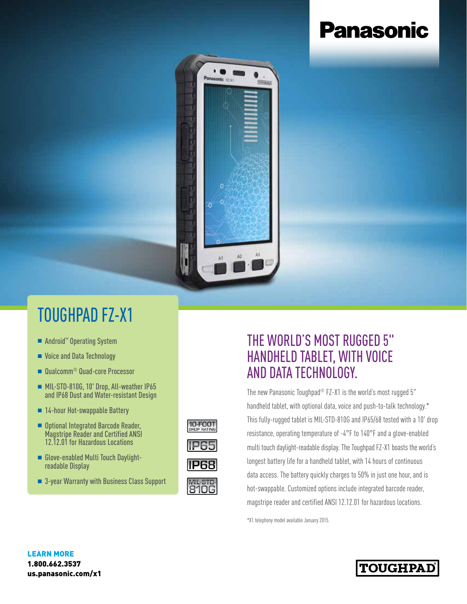# **Panasonic**



## TOUGHPAD FZ-X1

- Android<sup>™</sup> Operating System
- Voice and Data Technology
- Qualcomm<sup>®</sup> Quad-core Processor
- <sup>n</sup> MIL-STD-810G, 10' Drop, All-weather IP65 and IP68 Dust and Water-resistant Design
- 14-hour Hot-swappable Battery
- Optional Integrated Barcode Reader, Magstripe Reader and Certified ANSI 12.12.01 for Hazardous Locations
- n Glove-enabled Multi Touch Daylightreadable Display
- 3-year Warranty with Business Class Support

# 10-FOOT







### THE WORLD'S MOST RUGGED 5" HANDHELD TABLET, WITH VOICE AND DATA TECHNOLOGY.

The new Panasonic Toughpad<sup>®</sup> FZ-X1 is the world's most rugged 5" handheld tablet, with optional data, voice and push-to-talk technology.\* This fully-rugged tablet is MIL-STD-810G and IP65/68 tested with a 10' drop resistance, operating temperature of -4°F to 140°F and a glove-enabled multi touch daylight-readable display. The Toughpad FZ-X1 boasts the world's longest battery life for a handheld tablet, with 14 hours of continuous data access. The battery quickly charges to 50% in just one hour, and is hot-swappable. Customized options include integrated barcode reader, magstripe reader and certified ANSI 12.12.01 for hazardous locations.

\*X1 telephony model available January 2015.

#### LEARN MORE 1.800.662.3537 us.panasonic.com/x1